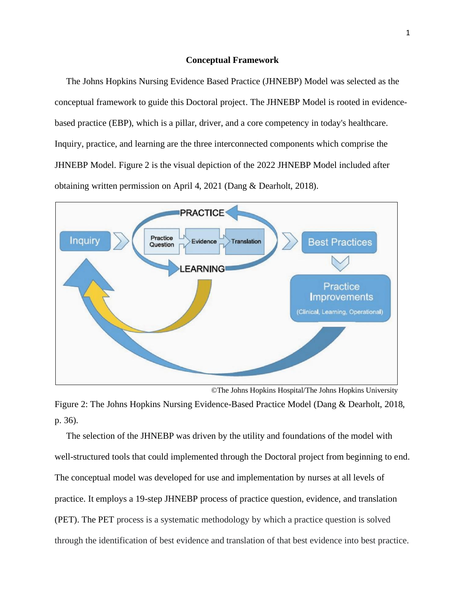## **Conceptual Framework**

The Johns Hopkins Nursing Evidence Based Practice (JHNEBP) Model was selected as the conceptual framework to guide this Doctoral project. The JHNEBP Model is rooted in evidencebased practice (EBP), which is a pillar, driver, and a core competency in today's healthcare. Inquiry, practice, and learning are the three interconnected components which comprise the JHNEBP Model. Figure 2 is the visual depiction of the 2022 JHNEBP Model included after obtaining written permission on April 4, 2021 (Dang & Dearholt, 2018).



©The Johns Hopkins Hospital/The Johns Hopkins University

Figure 2: The Johns Hopkins Nursing Evidence-Based Practice Model (Dang & Dearholt, 2018, p. 36).

 The selection of the JHNEBP was driven by the utility and foundations of the model with well-structured tools that could implemented through the Doctoral project from beginning to end. The conceptual model was developed for use and implementation by nurses at all levels of practice. It employs a 19-step JHNEBP process of practice question, evidence, and translation (PET). The PET process is a systematic methodology by which a practice question is solved through the identification of best evidence and translation of that best evidence into best practice.